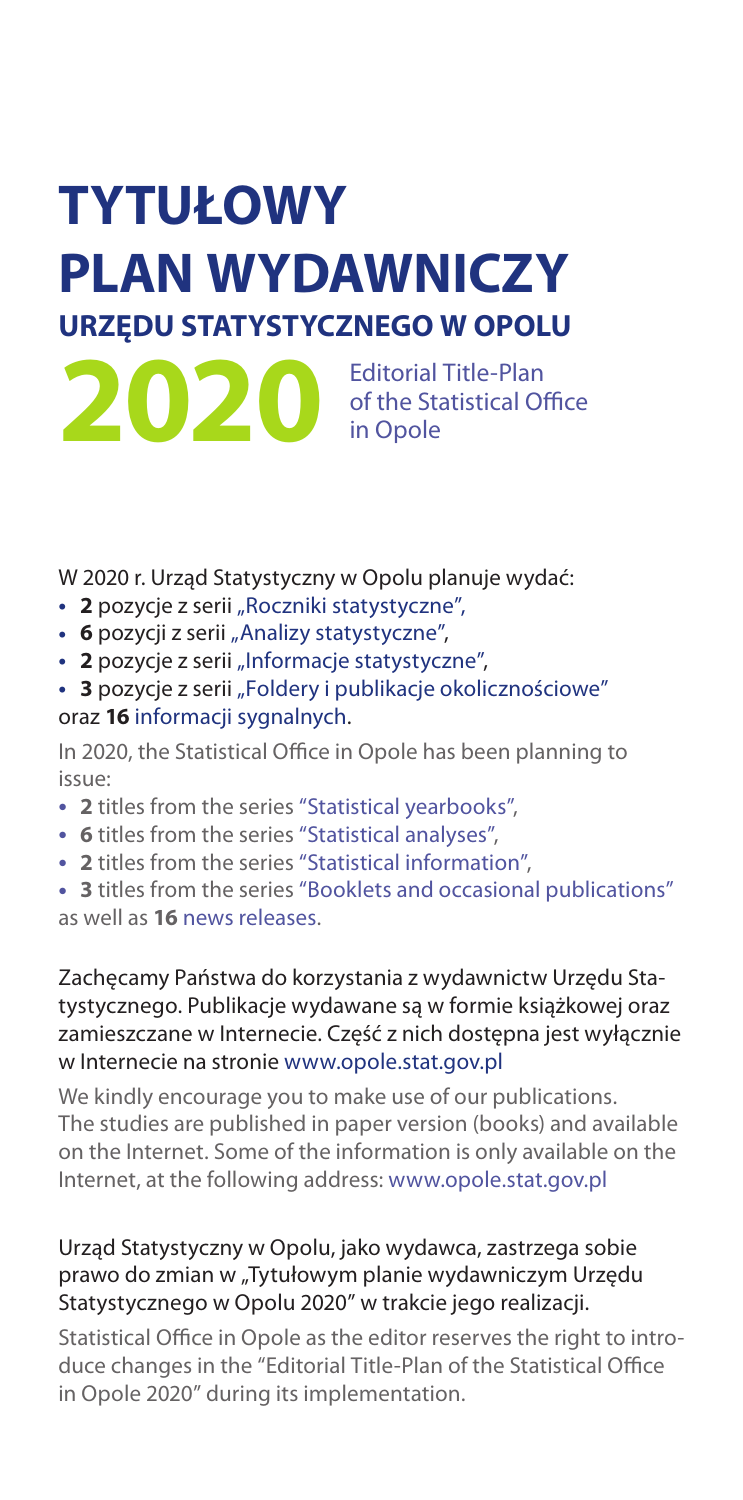# **TYTUŁOWY PLAN WYDAWNICZY URZĘDU STATYSTYCZNEGO W OPOLU**

**2020** Editorial Title-Plan<br>
in Opole of the Statistical Office in Opole

W 2020 r. Urząd Statystyczny w Opolu planuje wydać:

- 2 pozycje z serii "Roczniki statystyczne",
- **6** pozycji z serii "Analizy statystyczne",
- 2 pozycje z serii "Informacje statystyczne",
- 3 pozycje z serii "Foldery i publikacje okolicznościowe" oraz **16** informacji sygnalnych.

In 2020, the Statistical Office in Opole has been planning to issue:

- • **2** titles from the series "Statistical yearbooks",
- • **6** titles from the series "Statistical analyses",
- • **2** titles from the series "Statistical information",

• 3 titles from the series "Booklets and occasional publications" as well as **16** news releases.

# Zachęcamy Państwa do korzystania z wydawnictw Urzędu Statystycznego. Publikacje wydawane są w formie książkowej oraz zamieszczane w Internecie. Część z nich dostępna jest wyłącznie w Internecie na stronie www.opole.stat.gov.pl

We kindly encourage you to make use of our publications. The studies are published in paper version (books) and available on the Internet. Some of the information is only available on the Internet, at the following address: www.opole.stat.gov.pl

# Urząd Statystyczny w Opolu, jako wydawca, zastrzega sobie prawo do zmian w "Tytułowym planie wydawniczym Urzędu Statystycznego w Opolu 2020" w trakcie jego realizacji.

Statistical Office in Opole as the editor reserves the right to introduce changes in the "Editorial Title-Plan of the Statistical Office in Opole 2020" during its implementation.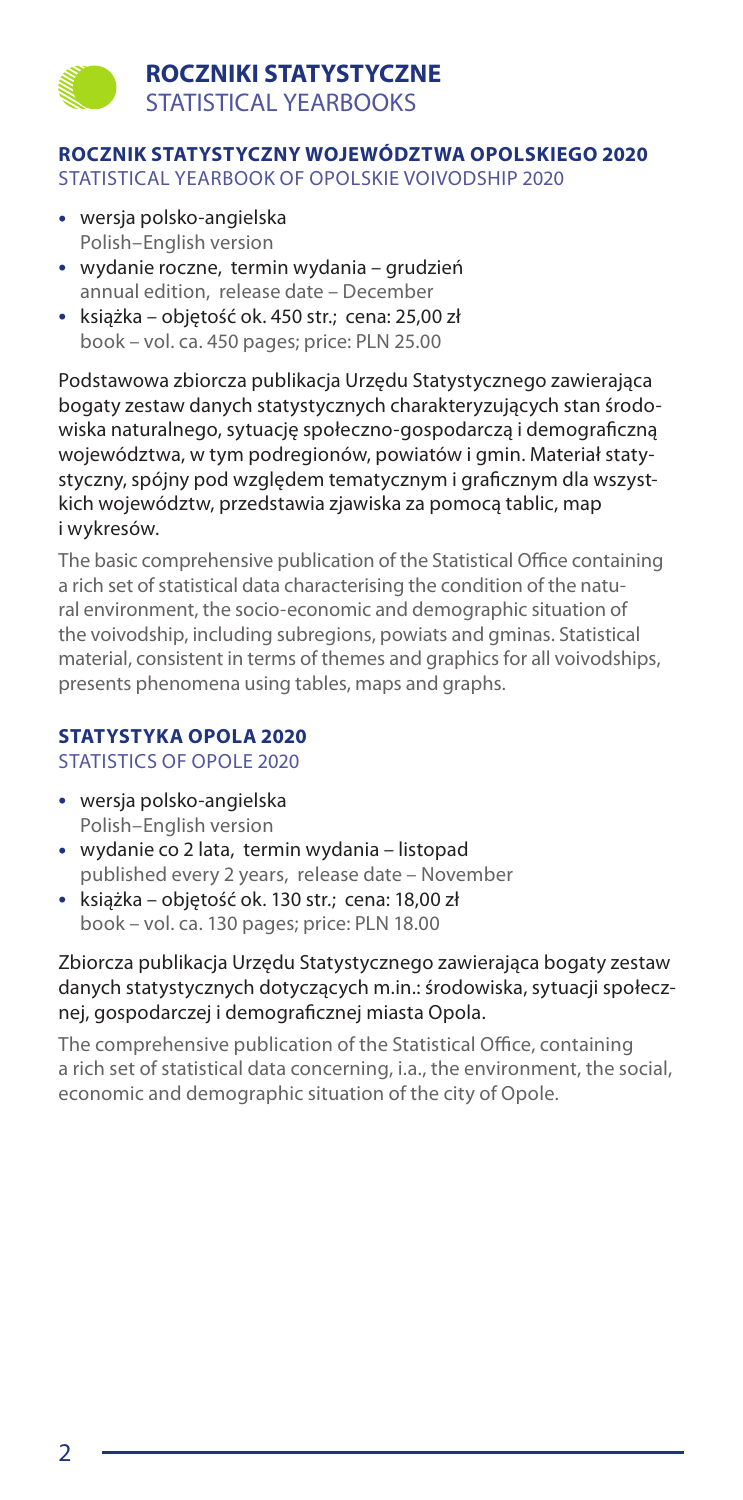# **ROCZNIKI STATYSTYCZNE** STATISTICAL YEARBOOKS

# **ROCZNIK STATYSTYCZNY WOJEWÓDZTWA OPOLSKIEGO 2020**

STATISTICAL YEARBOOK OF OPOLSKIE VOIVODSHIP 2020

- • wersja polsko-angielska Polish–English version
- • wydanie roczne, termin wydania grudzień annual edition, release date – December
- • książka objętość ok. 450 str.; cena: 25,00 zł book – vol. ca. 450 pages; price: PLN 25.00

Podstawowa zbiorcza publikacja Urzędu Statystycznego zawierająca bogaty zestaw danych statystycznych charakteryzujących stan środowiska naturalnego, sytuację społeczno-gospodarczą i demograficzną województwa, w tym podregionów, powiatów i gmin. Materiał statystyczny, spójny pod względem tematycznym i graficznym dla wszystkich województw, przedstawia zjawiska za pomocą tablic, map i wykresów.

The basic comprehensive publication of the Statistical Office containing a rich set of statistical data characterising the condition of the natural environment, the socio-economic and demographic situation of the voivodship, including subregions, powiats and gminas. Statistical material, consistent in terms of themes and graphics for all voivodships, presents phenomena using tables, maps and graphs.

### **STATYSTYKA OPOLA 2020** STATISTICS OF OPOLE 2020

- • wersja polsko-angielska Polish–English version
- • wydanie co 2 lata, termin wydania listopad published every 2 years, release date – November
- • książka objętość ok. 130 str.; cena: 18,00 zł book – vol. ca. 130 pages; price: PLN 18.00

### Zbiorcza publikacja Urzędu Statystycznego zawierająca bogaty zestaw danych statystycznych dotyczących m.in.: środowiska, sytuacji społecznej, gospodarczej i demograficznej miasta Opola.

The comprehensive publication of the Statistical Office, containing a rich set of statistical data concerning, i.a., the environment, the social, economic and demographic situation of the city of Opole.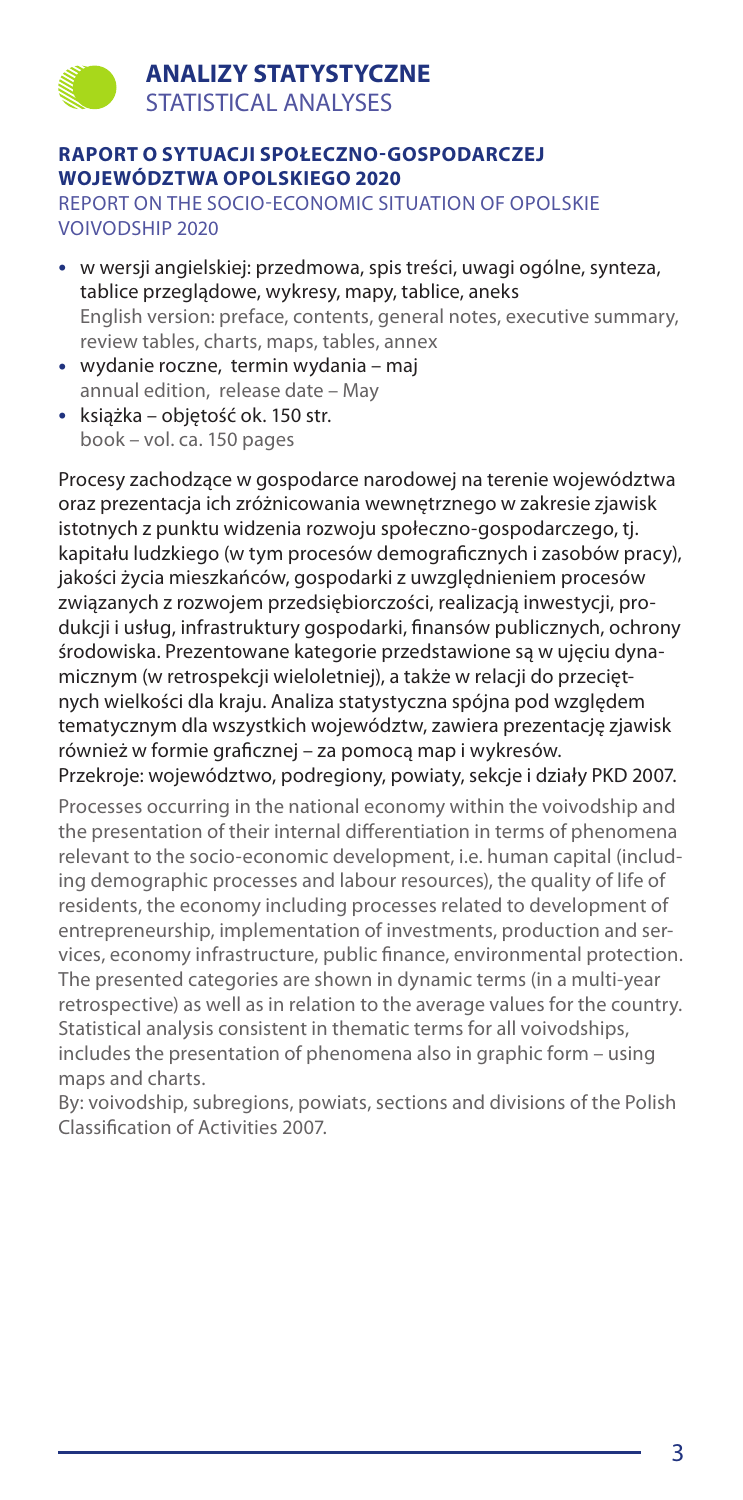### **RAPORT O SYTUACJI SPOŁECZNO-GOSPODARCZEJ WOJEWÓDZTWA OPOLSKIEGO 2020**

REPORT ON THE SOCIO-ECONOMIC SITUATION OF OPOLSKIE VOIVODSHIP 2020

- • w wersji angielskiej: przedmowa, spis treści, uwagi ogólne, synteza, tablice przeglądowe, wykresy, mapy, tablice, aneks English version: preface, contents, general notes, executive summary, review tables, charts, maps, tables, annex
- • wydanie roczne, termin wydania maj annual edition, release date – May
- • książka objętość ok. 150 str. book – vol. ca. 150 pages

Procesy zachodzące w gospodarce narodowej na terenie województwa oraz prezentacja ich zróżnicowania wewnętrznego w zakresie zjawisk istotnych z punktu widzenia rozwoju społeczno-gospodarczego, tj. kapitału ludzkiego (w tym procesów demograficznych i zasobów pracy), jakości życia mieszkańców, gospodarki z uwzględnieniem procesów związanych z rozwojem przedsiębiorczości, realizacją inwestycji, produkcji i usług, infrastruktury gospodarki, finansów publicznych, ochrony środowiska. Prezentowane kategorie przedstawione są w ujęciu dynamicznym (w retrospekcji wieloletniej), a także w relacji do przeciętnych wielkości dla kraju. Analiza statystyczna spójna pod względem tematycznym dla wszystkich województw, zawiera prezentację zjawisk również w formie graficznej – za pomocą map i wykresów. Przekroje: województwo, podregiony, powiaty, sekcje i działy PKD 2007.

Processes occurring in the national economy within the voivodship and the presentation of their internal differentiation in terms of phenomena relevant to the socio-economic development, i.e. human capital (including demographic processes and labour resources), the quality of life of residents, the economy including processes related to development of entrepreneurship, implementation of investments, production and services, economy infrastructure, public finance, environmental protection. The presented categories are shown in dynamic terms (in a multi-year retrospective) as well as in relation to the average values for the country. Statistical analysis consistent in thematic terms for all voivodships, includes the presentation of phenomena also in graphic form – using maps and charts.

By: voivodship, subregions, powiats, sections and divisions of the Polish Classification of Activities 2007.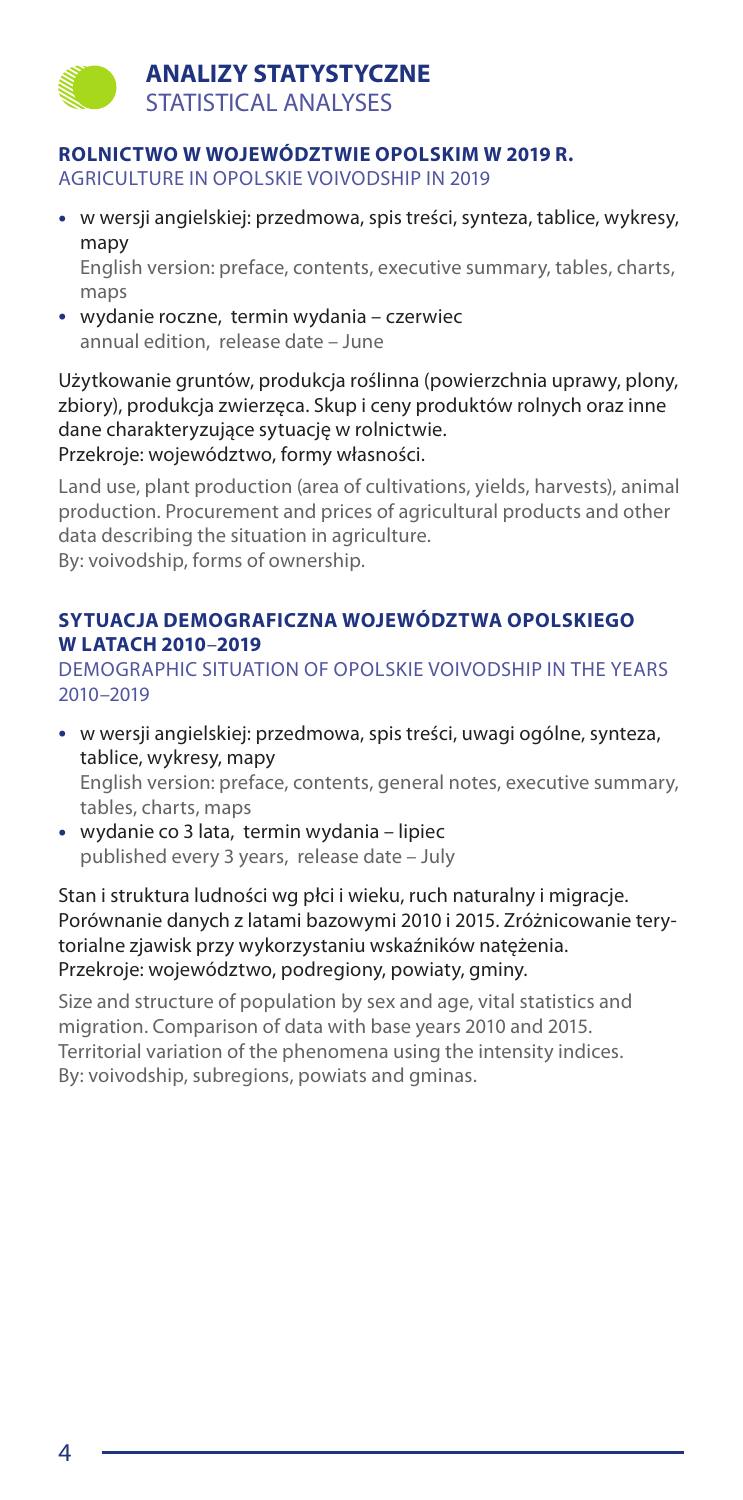### **ROLNICTWO W WOJEWÓDZTWIE OPOLSKIM W 2019 R.**

AGRICULTURE IN OPOLSKIE VOIVODSHIP IN 2019

- • w wersji angielskiej: przedmowa, spis treści, synteza, tablice, wykresy, mapy English version: preface, contents, executive summary, tables, charts, maps
- • wydanie roczne, termin wydania czerwiec annual edition, release date – June

Użytkowanie gruntów, produkcja roślinna (powierzchnia uprawy, plony, zbiory), produkcja zwierzęca. Skup i ceny produktów rolnych oraz inne dane charakteryzujące sytuację w rolnictwie. Przekroje: województwo, formy własności.

Land use, plant production (area of cultivations, yields, harvests), animal production. Procurement and prices of agricultural products and other data describing the situation in agriculture. By: voivodship, forms of ownership.

### **SYTUACJA DEMOGRAFICZNA WOJEWÓDZTWA OPOLSKIEGO W LATACH 2010**–**2019**

DEMOGRAPHIC SITUATION OF OPOLSKIE VOIVODSHIP IN THE YEARS 2010–2019

- • w wersji angielskiej: przedmowa, spis treści, uwagi ogólne, synteza, tablice, wykresy, mapy English version: preface, contents, general notes, executive summary, tables, charts, maps
- • wydanie co 3 lata, termin wydania lipiec published every 3 years, release date – July

Stan i struktura ludności wg płci i wieku, ruch naturalny i migracje. Porównanie danych z latami bazowymi 2010 i 2015. Zróżnicowanie terytorialne zjawisk przy wykorzystaniu wskaźników natężenia. Przekroje: województwo, podregiony, powiaty, gminy.

Size and structure of population by sex and age, vital statistics and migration. Comparison of data with base years 2010 and 2015. Territorial variation of the phenomena using the intensity indices. By: voivodship, subregions, powiats and gminas.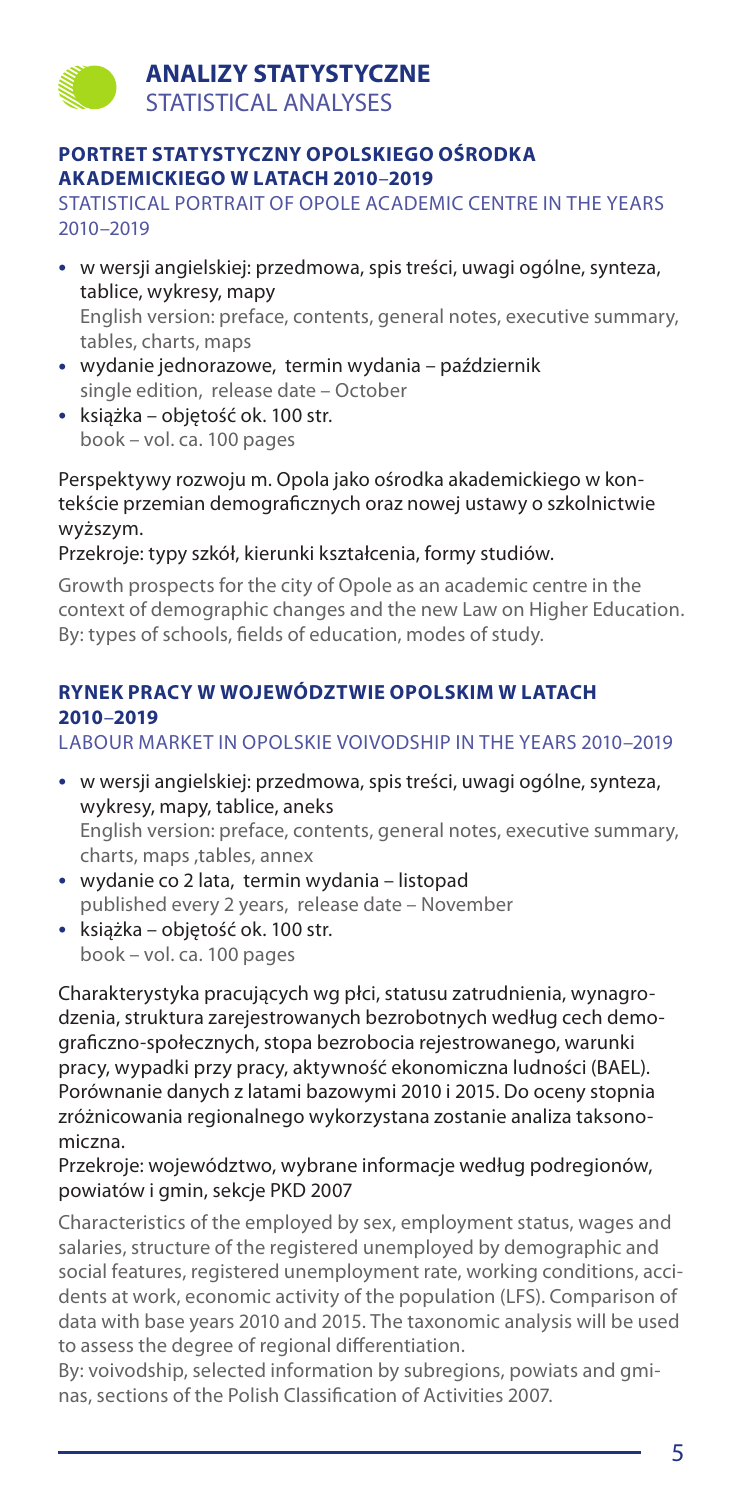### **PORTRET STATYSTYCZNY OPOLSKIEGO OŚRODKA AKADEMICKIEGO W LATACH 2010**–**2019**

STATISTICAL PORTRAIT OF OPOLE ACADEMIC CENTRE IN THE YEARS 2010–2019

- • w wersji angielskiej: przedmowa, spis treści, uwagi ogólne, synteza, tablice, wykresy, mapy English version: preface, contents, general notes, executive summary, tables, charts, maps
- • wydanie jednorazowe, termin wydania październik single edition, release date – October
- • książka objętość ok. 100 str. book – vol. ca. 100 pages

Perspektywy rozwoju m. Opola jako ośrodka akademickiego w kontekście przemian demograficznych oraz nowej ustawy o szkolnictwie wyższym.

### Przekroje: typy szkół, kierunki kształcenia, formy studiów.

Growth prospects for the city of Opole as an academic centre in the context of demographic changes and the new Law on Higher Education. By: types of schools, fields of education, modes of study.

# **RYNEK PRACY W WOJEWÓDZTWIE OPOLSKIM W LATACH 2010**–**2019**

### LABOUR MARKET IN OPOLSKIE VOIVODSHIP IN THE YEARS 2010–2019

- • w wersji angielskiej: przedmowa, spis treści, uwagi ogólne, synteza, wykresy, mapy, tablice, aneks English version: preface, contents, general notes, executive summary, charts, maps ,tables, annex
- • wydanie co 2 lata, termin wydania listopad published every 2 years, release date – November
- • książka objętość ok. 100 str. book – vol. ca. 100 pages

Charakterystyka pracujących wg płci, statusu zatrudnienia, wynagrodzenia, struktura zarejestrowanych bezrobotnych według cech demograficzno-społecznych, stopa bezrobocia rejestrowanego, warunki pracy, wypadki przy pracy, aktywność ekonomiczna ludności (BAEL). Porównanie danych z latami bazowymi 2010 i 2015. Do oceny stopnia zróżnicowania regionalnego wykorzystana zostanie analiza taksonomiczna.

### Przekroje: województwo, wybrane informacje według podregionów, powiatów i gmin, sekcje PKD 2007

Characteristics of the employed by sex, employment status, wages and salaries, structure of the registered unemployed by demographic and social features, registered unemployment rate, working conditions, accidents at work, economic activity of the population (LFS). Comparison of data with base years 2010 and 2015. The taxonomic analysis will be used to assess the degree of regional differentiation.

By: voivodship, selected information by subregions, powiats and gminas, sections of the Polish Classification of Activities 2007.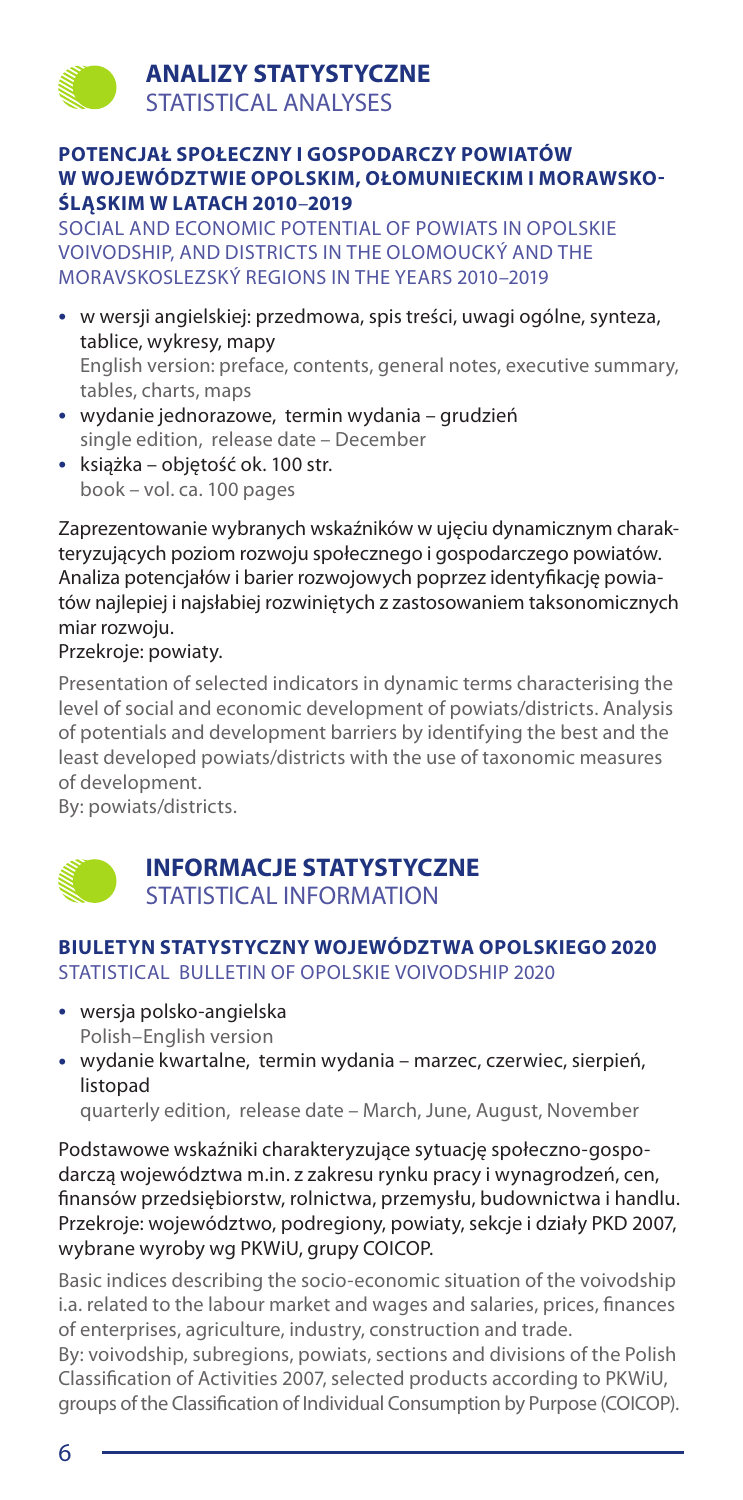### **POTENCJAŁ SPOŁECZNY I GOSPODARCZY POWIATÓW W WOJEWÓDZTWIE OPOLSKIM, OŁOMUNIECKIM I MORAWSKO-ŚLĄSKIM W LATACH 2010**–**2019**

SOCIAL AND ECONOMIC POTENTIAL OF POWIATS IN OPOLSKIE VOIVODSHIP, AND DISTRICTS IN THE OLOMOUCKÝ AND THE MORAVSKOSLEZSKÝ REGIONS IN THE YEARS 2010–2019

- • w wersji angielskiej: przedmowa, spis treści, uwagi ogólne, synteza, tablice, wykresy, mapy English version: preface, contents, general notes, executive summary, tables, charts, maps
- • wydanie jednorazowe, termin wydania grudzień single edition, release date – December
- • książka objętość ok. 100 str. book – vol. ca. 100 pages

Zaprezentowanie wybranych wskaźników w ujęciu dynamicznym charakteryzujących poziom rozwoju społecznego i gospodarczego powiatów. Analiza potencjałów i barier rozwojowych poprzez identyfikację powiatów najlepiej i najsłabiej rozwiniętych z zastosowaniem taksonomicznych miar rozwoju.

Przekroje: powiaty.

Presentation of selected indicators in dynamic terms characterising the level of social and economic development of powiats/districts. Analysis of potentials and development barriers by identifying the best and the least developed powiats/districts with the use of taxonomic measures of development.

By: powiats/districts.

# **INFORMACJE STATYSTYCZNE** STATISTICAL INFORMATION

# **BIULETYN STATYSTYCZNY WOJEWÓDZTWA OPOLSKIEGO 2020** STATISTICAL BULLETIN OF OPOLSKIE VOIVODSHIP 2020

- • wersja polsko-angielska Polish–English version
- • wydanie kwartalne, termin wydania marzec, czerwiec, sierpień, listopad

quarterly edition, release date – March, June, August, November

Podstawowe wskaźniki charakteryzujące sytuację społeczno-gospodarczą województwa m.in. z zakresu rynku pracy i wynagrodzeń, cen, finansów przedsiębiorstw, rolnictwa, przemysłu, budownictwa i handlu. Przekroje: województwo, podregiony, powiaty, sekcje i działy PKD 2007, wybrane wyroby wg PKWiU, grupy COICOP.

Basic indices describing the socio-economic situation of the voivodship i.a. related to the labour market and wages and salaries, prices, finances of enterprises, agriculture, industry, construction and trade.

By: voivodship, subregions, powiats, sections and divisions of the Polish Classification of Activities 2007, selected products according to PKWiU, groups of the Classification of Individual Consumption by Purpose (COICOP).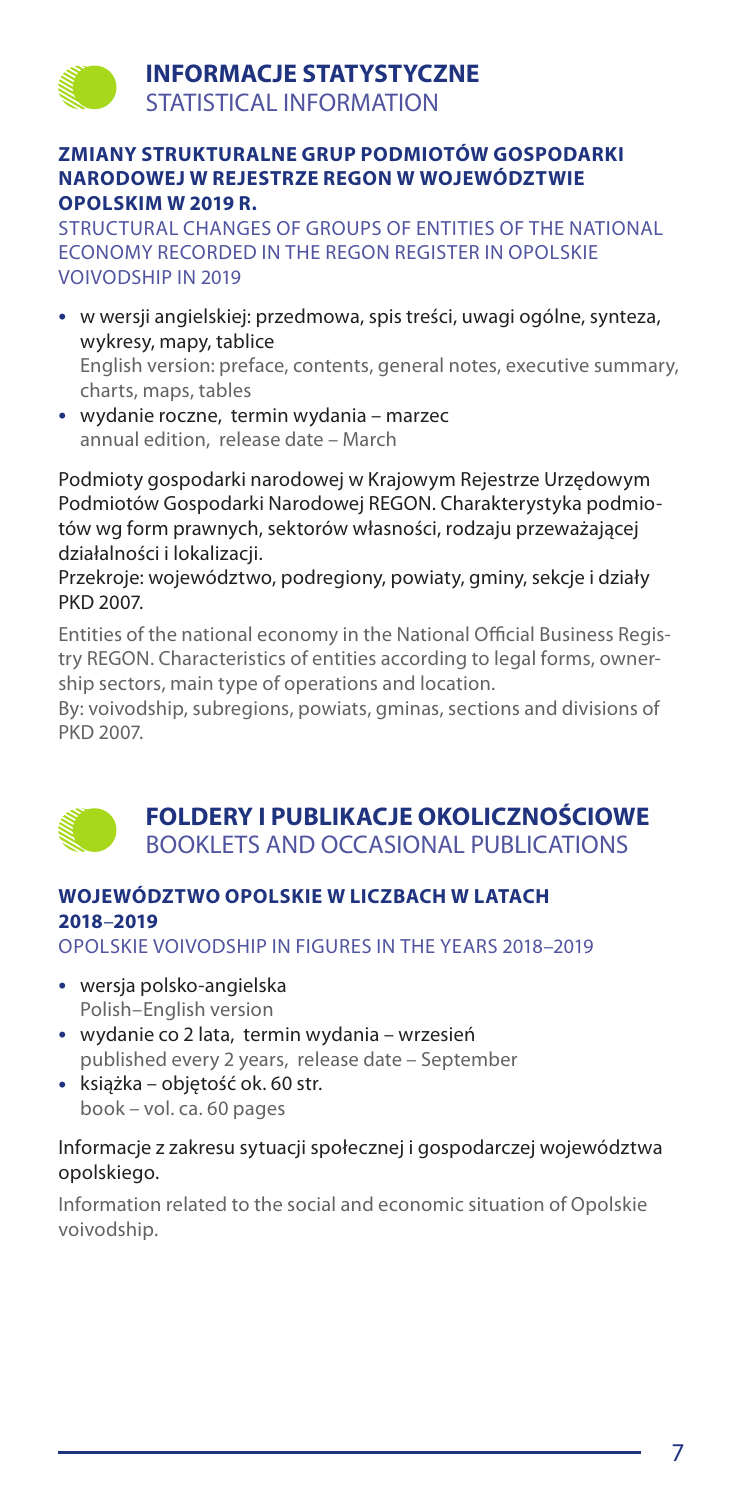# **INFORMACJE STATYSTYCZNE** STATISTICAL INFORMATION

### **ZMIANY STRUKTURALNE GRUP PODMIOTÓW GOSPODARKI NARODOWEJ W REJESTRZE REGON W WOJEWÓDZTWIE OPOLSKIM W 2019 R.**

STRUCTURAL CHANGES OF GROUPS OF ENTITIES OF THE NATIONAL ECONOMY RECORDED IN THE REGON REGISTER IN OPOLSKIE VOIVODSHIP IN 2019

- • w wersji angielskiej: przedmowa, spis treści, uwagi ogólne, synteza, wykresy, mapy, tablice English version: preface, contents, general notes, executive summary, charts, maps, tables
- • wydanie roczne, termin wydania marzec annual edition, release date – March

Podmioty gospodarki narodowej w Krajowym Rejestrze Urzędowym Podmiotów Gospodarki Narodowej REGON. Charakterystyka podmiotów wg form prawnych, sektorów własności, rodzaju przeważającej działalności i lokalizacji.

Przekroje: województwo, podregiony, powiaty, gminy, sekcje i działy PKD 2007.

Entities of the national economy in the National Official Business Registry REGON. Characteristics of entities according to legal forms, ownership sectors, main type of operations and location.

By: voivodship, subregions, powiats, gminas, sections and divisions of PKD 2007.



# **WOJEWÓDZTWO OPOLSKIE W LICZBACH W LATACH 2018**–**2019**

OPOLSKIE VOIVODSHIP IN FIGURES IN THE YEARS 2018–2019

- • wersja polsko-angielska Polish–English version
- • wydanie co 2 lata, termin wydania wrzesień published every 2 years, release date – September
- • książka objętość ok. 60 str. book – vol. ca. 60 pages

### Informacje z zakresu sytuacji społecznej i gospodarczej województwa opolskiego.

Information related to the social and economic situation of Opolskie voivodship.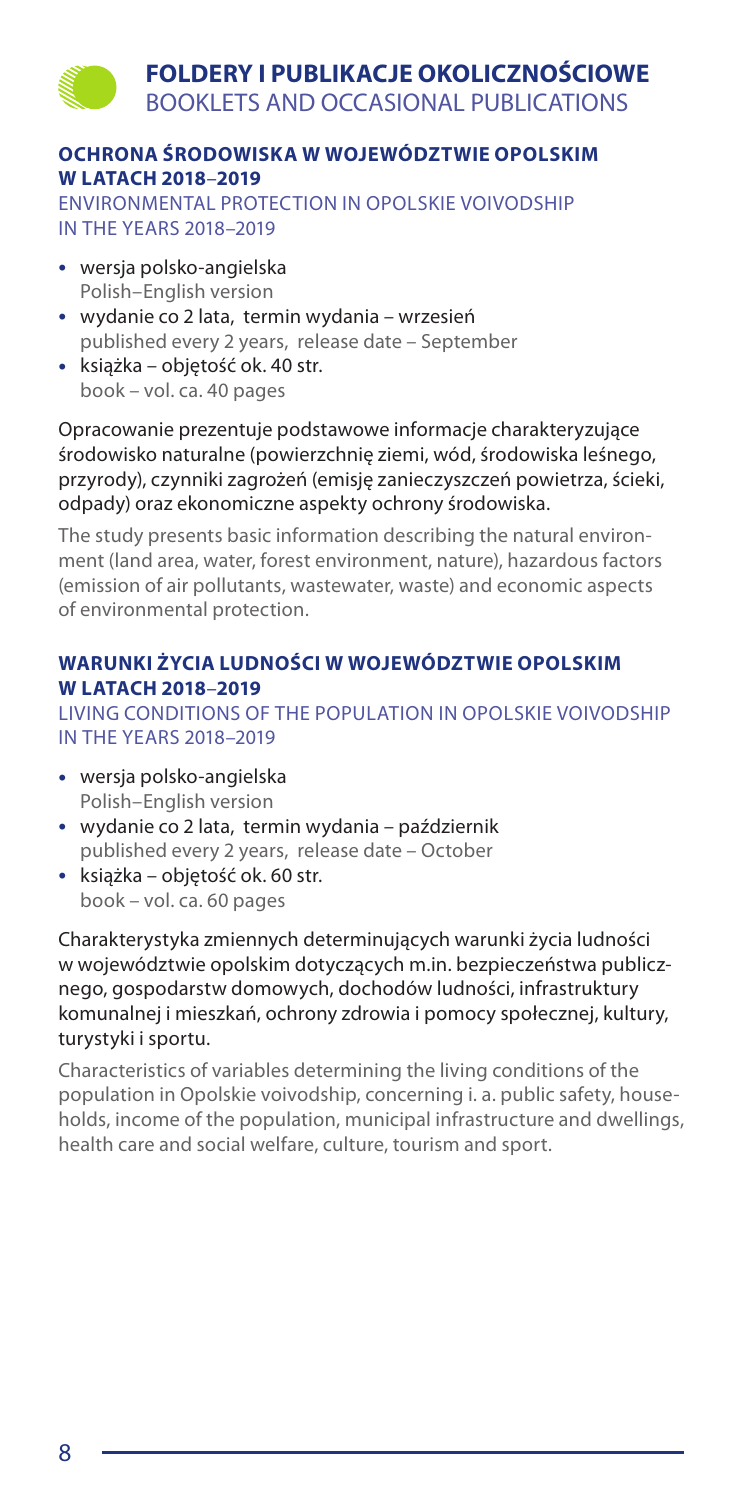# **FOLDERY I PUBLIKACJE OKOLICZNOŚCIOWE** BOOKLETS AND OCCASIONAL PUBLICATIONS

# **OCHRONA ŚRODOWISKA W WOJEWÓDZTWIE OPOLSKIM W LATACH 2018**–**2019**

ENVIRONMENTAL PROTECTION IN OPOLSKIE VOIVODSHIP IN THE YEARS 2018–2019

- • wersja polsko-angielska Polish–English version
- • wydanie co 2 lata, termin wydania wrzesień published every 2 years, release date – September
- • książka objętość ok. 40 str. book – vol. ca. 40 pages

Opracowanie prezentuje podstawowe informacje charakteryzujące środowisko naturalne (powierzchnię ziemi, wód, środowiska leśnego, przyrody), czynniki zagrożeń (emisję zanieczyszczeń powietrza, ścieki, odpady) oraz ekonomiczne aspekty ochrony środowiska.

The study presents basic information describing the natural environment (land area, water, forest environment, nature), hazardous factors (emission of air pollutants, wastewater, waste) and economic aspects of environmental protection.

# **WARUNKI ŻYCIA LUDNOŚCI W WOJEWÓDZTWIE OPOLSKIM W LATACH 2018**–**2019**

LIVING CONDITIONS OF THE POPULATION IN OPOLSKIE VOIVODSHIP IN THE YEARS 2018–2019

- • wersja polsko-angielska Polish–English version
- • wydanie co 2 lata, termin wydania październik published every 2 years, release date – October
- • książka objętość ok. 60 str. book – vol. ca. 60 pages

Charakterystyka zmiennych determinujących warunki życia ludności w województwie opolskim dotyczących m.in. bezpieczeństwa publicznego, gospodarstw domowych, dochodów ludności, infrastruktury komunalnej i mieszkań, ochrony zdrowia i pomocy społecznej, kultury, turystyki i sportu.

Characteristics of variables determining the living conditions of the population in Opolskie voivodship, concerning i. a. public safety, households, income of the population, municipal infrastructure and dwellings, health care and social welfare, culture, tourism and sport.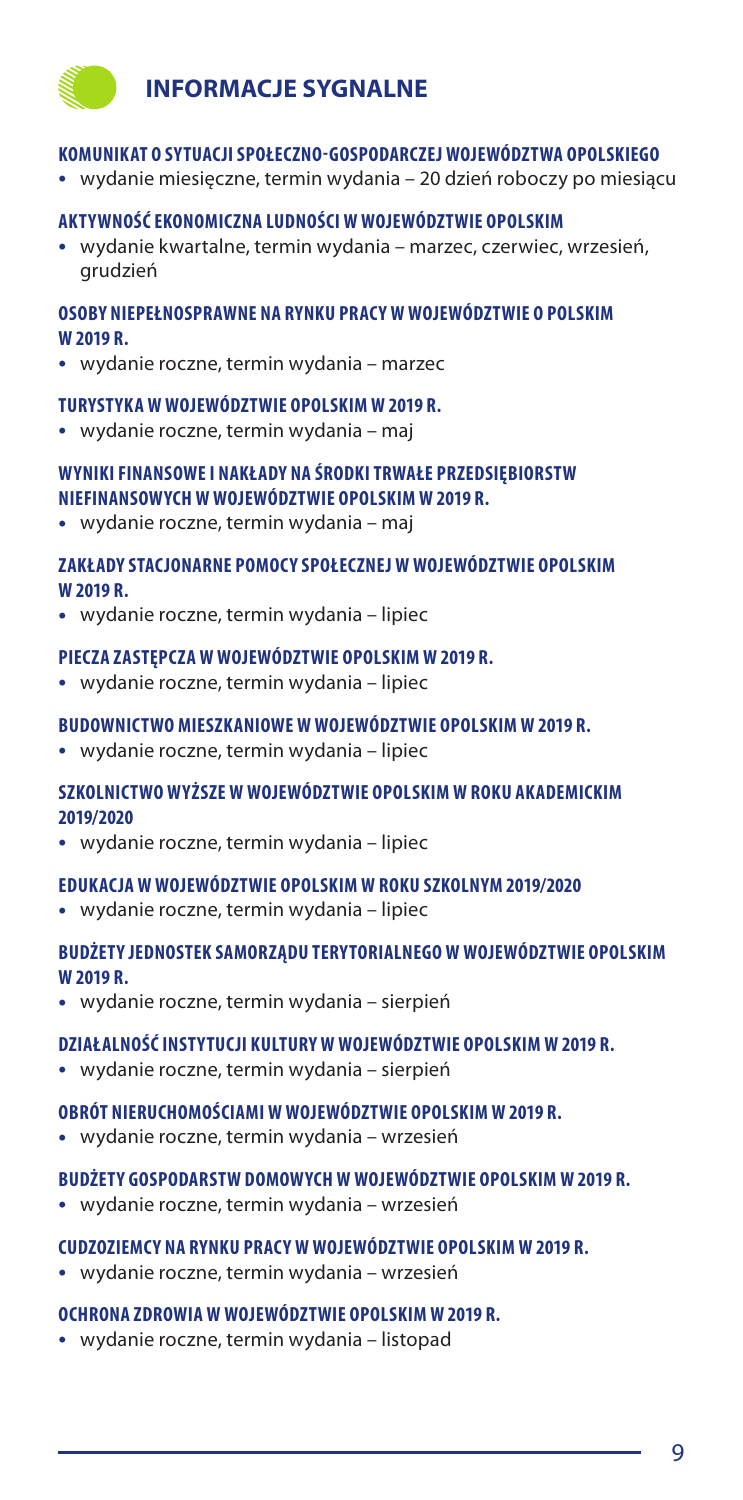# **INFORMACJE SYGNALNE**

#### **KOMUNIKAT O SYTUACJI SPOŁECZNO-GOSPODARCZEJ WOJEWÓDZTWA OPOLSKIEGO**

• wydanie miesięczne, termin wydania – 20 dzień roboczy po miesiącu

#### **AKTYWNOŚĆ EKONOMICZNA LUDNOŚCI W WOJEWÓDZTWIE OPOLSKIM**

• wydanie kwartalne, termin wydania – marzec, czerwiec, wrzesień, grudzień

### **OSOBY NIEPEŁNOSPRAWNE NA RYNKU PRACY W WOJEWÓDZTWIE O POLSKIM W 2019 R.**

• wydanie roczne, termin wydania – marzec

#### **TURYSTYKA W WOJEWÓDZTWIE OPOLSKIM W 2019 R.**

• wydanie roczne, termin wydania – maj

### **WYNIKI FINANSOWE I NAKŁADY NA ŚRODKI TRWAŁE PRZEDSIĘBIORSTW NIEFINANSOWYCH W WOJEWÓDZTWIE OPOLSKIM W 2019 R.**

• wydanie roczne, termin wydania – maj

### **ZAKŁADY STACJONARNE POMOCY SPOŁECZNEJ W WOJEWÓDZTWIE OPOLSKIM W 2019 R.**

• wydanie roczne, termin wydania – lipiec

#### **PIECZA ZASTĘPCZA W WOJEWÓDZTWIE OPOLSKIM W 2019 R.**

• wydanie roczne, termin wydania – lipiec

#### **BUDOWNICTWO MIESZKANIOWE W WOJEWÓDZTWIE OPOLSKIM W 2019 R.**

• wydanie roczne, termin wydania – lipiec

### **SZKOLNICTWO WYŻSZE W WOJEWÓDZTWIE OPOLSKIM W ROKU AKADEMICKIM 2019/2020**

• wydanie roczne, termin wydania – lipiec

#### **EDUKACJA W WOJEWÓDZTWIE OPOLSKIM W ROKU SZKOLNYM 2019/2020**

• wydanie roczne, termin wydania – lipiec

### **BUDŻETY JEDNOSTEK SAMORZĄDU TERYTORIALNEGO W WOJEWÓDZTWIE OPOLSKIM W 2019 R.**

• wydanie roczne, termin wydania – sierpień

### **DZIAŁALNOŚĆ INSTYTUCJI KULTURY W WOJEWÓDZTWIE OPOLSKIM W 2019 R.**

• wydanie roczne, termin wydania – sierpień

#### **OBRÓT NIERUCHOMOŚCIAMI W WOJEWÓDZTWIE OPOLSKIM W 2019 R.**

• wydanie roczne, termin wydania – wrzesień

### **BUDŻETY GOSPODARSTW DOMOWYCH W WOJEWÓDZTWIE OPOLSKIM W 2019 R.**

• wydanie roczne, termin wydania – wrzesień

#### **CUDZOZIEMCY NA RYNKU PRACY W WOJEWÓDZTWIE OPOLSKIM W 2019 R.**

• wydanie roczne, termin wydania – wrzesień

#### **OCHRONA ZDROWIA W WOJEWÓDZTWIE OPOLSKIM W 2019 R.**

• wydanie roczne, termin wydania – listopad